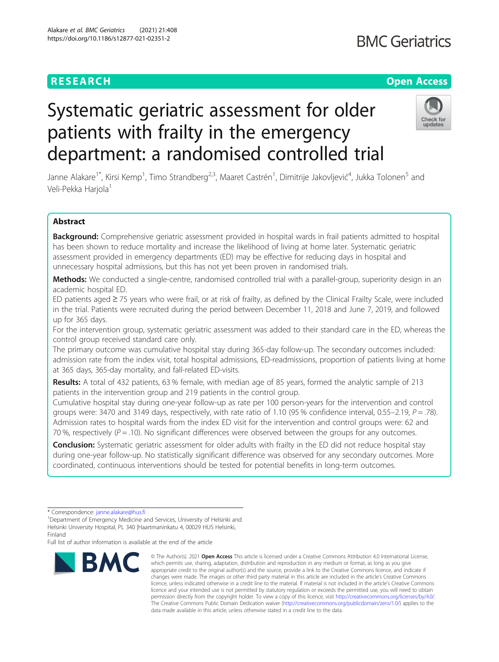# **RESEARCH CHEAR CHEAR CHEAR CHEAR CHEAR CHEAR CHEAR CHEAR CHEAR CHEAR CHEAR CHEAR CHEAR CHEAR CHEAR CHEAR CHEAR**

# Systematic geriatric assessment for older patients with frailty in the emergency department: a randomised controlled trial



Janne Alakare<sup>1\*</sup>, Kirsi Kemp<sup>1</sup>, Timo Strandberg<sup>2,3</sup>, Maaret Castrén<sup>1</sup>, Dimitrije Jakovljević<sup>4</sup>, Jukka Tolonen<sup>5</sup> and Veli-Pekka Harjola<sup>1</sup>

## Abstract

Background: Comprehensive geriatric assessment provided in hospital wards in frail patients admitted to hospital has been shown to reduce mortality and increase the likelihood of living at home later. Systematic geriatric assessment provided in emergency departments (ED) may be effective for reducing days in hospital and unnecessary hospital admissions, but this has not yet been proven in randomised trials.

Methods: We conducted a single-centre, randomised controlled trial with a parallel-group, superiority design in an academic hospital ED.

ED patients aged ≥ 75 years who were frail, or at risk of frailty, as defined by the Clinical Frailty Scale, were included in the trial. Patients were recruited during the period between December 11, 2018 and June 7, 2019, and followed up for 365 days.

For the intervention group, systematic geriatric assessment was added to their standard care in the ED, whereas the control group received standard care only.

The primary outcome was cumulative hospital stay during 365-day follow-up. The secondary outcomes included: admission rate from the index visit, total hospital admissions, ED-readmissions, proportion of patients living at home at 365 days, 365-day mortality, and fall-related ED-visits.

Results: A total of 432 patients, 63 % female, with median age of 85 years, formed the analytic sample of 213 patients in the intervention group and 219 patients in the control group.

Cumulative hospital stay during one-year follow-up as rate per 100 person-years for the intervention and control groups were: 3470 and 3149 days, respectively, with rate ratio of 1.10 (95 % confidence interval, 0.55–2.19,  $P = .78$ ). Admission rates to hospital wards from the index ED visit for the intervention and control groups were: 62 and 70 %, respectively ( $P = .10$ ). No significant differences were observed between the groups for any outcomes.

**Conclusion:** Systematic geriatric assessment for older adults with frailty in the ED did not reduce hospital stay during one-year follow-up. No statistically significant difference was observed for any secondary outcomes. More coordinated, continuous interventions should be tested for potential benefits in long-term outcomes.

Full list of author information is available at the end of the article



<sup>©</sup> The Author(s), 2021 **Open Access** This article is licensed under a Creative Commons Attribution 4.0 International License, which permits use, sharing, adaptation, distribution and reproduction in any medium or format, as long as you give appropriate credit to the original author(s) and the source, provide a link to the Creative Commons licence, and indicate if changes were made. The images or other third party material in this article are included in the article's Creative Commons licence, unless indicated otherwise in a credit line to the material. If material is not included in the article's Creative Commons licence and your intended use is not permitted by statutory regulation or exceeds the permitted use, you will need to obtain permission directly from the copyright holder. To view a copy of this licence, visit [http://creativecommons.org/licenses/by/4.0/.](http://creativecommons.org/licenses/by/4.0/) The Creative Commons Public Domain Dedication waiver [\(http://creativecommons.org/publicdomain/zero/1.0/](http://creativecommons.org/publicdomain/zero/1.0/)) applies to the data made available in this article, unless otherwise stated in a credit line to the data.

<sup>\*</sup> Correspondence: [janne.alakare@hus.fi](mailto:janne.alakare@hus.fi) <sup>1</sup>

<sup>&</sup>lt;sup>1</sup>Department of Emergency Medicine and Services, University of Helsinki and Helsinki University Hospital, PL 340 |Haartmaninkatu 4, 00029 HUS Helsinki, Finland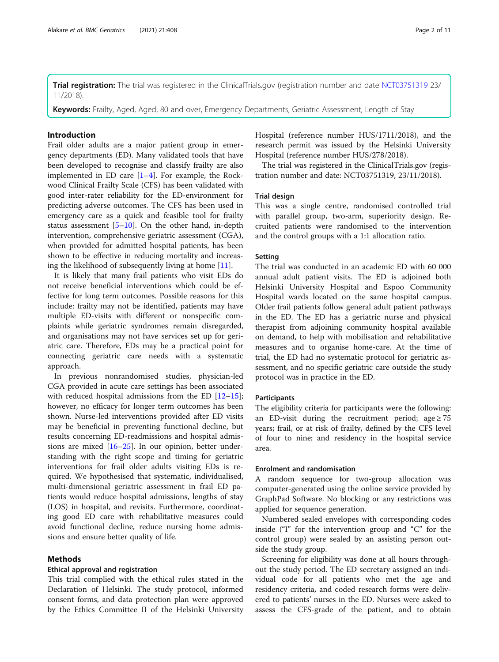Trial registration: The trial was registered in the ClinicalTrials.gov (registration number and date [NCT03751319](https://clinicaltrials.gov/ct2/show/NCT03751319) 23/ 11/2018).

Keywords: Frailty, Aged, Aged, 80 and over, Emergency Departments, Geriatric Assessment, Length of Stay

### Introduction

Frail older adults are a major patient group in emergency departments (ED). Many validated tools that have been developed to recognise and classify frailty are also implemented in ED care  $[1-4]$  $[1-4]$  $[1-4]$  $[1-4]$ . For example, the Rockwood Clinical Frailty Scale (CFS) has been validated with good inter-rater reliability for the ED-environment for predicting adverse outcomes. The CFS has been used in emergency care as a quick and feasible tool for frailty status assessment  $[5–10]$  $[5–10]$  $[5–10]$  $[5–10]$ . On the other hand, in-depth intervention, comprehensive geriatric assessment (CGA), when provided for admitted hospital patients, has been shown to be effective in reducing mortality and increasing the likelihood of subsequently living at home [[11\]](#page-9-0).

It is likely that many frail patients who visit EDs do not receive beneficial interventions which could be effective for long term outcomes. Possible reasons for this include: frailty may not be identified, patients may have multiple ED-visits with different or nonspecific complaints while geriatric syndromes remain disregarded, and organisations may not have services set up for geriatric care. Therefore, EDs may be a practical point for connecting geriatric care needs with a systematic approach.

In previous nonrandomised studies, physician-led CGA provided in acute care settings has been associated with reduced hospital admissions from the ED  $[12-15]$  $[12-15]$  $[12-15]$  $[12-15]$  $[12-15]$ ; however, no efficacy for longer term outcomes has been shown. Nurse-led interventions provided after ED visits may be beneficial in preventing functional decline, but results concerning ED-readmissions and hospital admissions are mixed  $[16–25]$  $[16–25]$  $[16–25]$  $[16–25]$  $[16–25]$ . In our opinion, better understanding with the right scope and timing for geriatric interventions for frail older adults visiting EDs is required. We hypothesised that systematic, individualised, multi-dimensional geriatric assessment in frail ED patients would reduce hospital admissions, lengths of stay (LOS) in hospital, and revisits. Furthermore, coordinating good ED care with rehabilitative measures could avoid functional decline, reduce nursing home admissions and ensure better quality of life.

#### Methods

#### Ethical approval and registration

This trial complied with the ethical rules stated in the Declaration of Helsinki. The study protocol, informed consent forms, and data protection plan were approved by the Ethics Committee II of the Helsinki University Hospital (reference number HUS/1711/2018), and the research permit was issued by the Helsinki University Hospital (reference number HUS/278/2018).

The trial was registered in the ClinicalTrials.gov (registration number and date: NCT03751319, 23/11/2018).

#### Trial design

This was a single centre, randomised controlled trial with parallel group, two-arm, superiority design. Recruited patients were randomised to the intervention and the control groups with a 1:1 allocation ratio.

#### Setting

The trial was conducted in an academic ED with 60 000 annual adult patient visits. The ED is adjoined both Helsinki University Hospital and Espoo Community Hospital wards located on the same hospital campus. Older frail patients follow general adult patient pathways in the ED. The ED has a geriatric nurse and physical therapist from adjoining community hospital available on demand, to help with mobilisation and rehabilitative measures and to organise home-care. At the time of trial, the ED had no systematic protocol for geriatric assessment, and no specific geriatric care outside the study protocol was in practice in the ED.

#### **Participants**

The eligibility criteria for participants were the following: an ED-visit during the recruitment period; age  $\geq 75$ years; frail, or at risk of frailty, defined by the CFS level of four to nine; and residency in the hospital service area.

#### Enrolment and randomisation

A random sequence for two-group allocation was computer-generated using the online service provided by GraphPad Software. No blocking or any restrictions was applied for sequence generation.

Numbered sealed envelopes with corresponding codes inside ("I" for the intervention group and "C" for the control group) were sealed by an assisting person outside the study group.

Screening for eligibility was done at all hours throughout the study period. The ED secretary assigned an individual code for all patients who met the age and residency criteria, and coded research forms were delivered to patients' nurses in the ED. Nurses were asked to assess the CFS-grade of the patient, and to obtain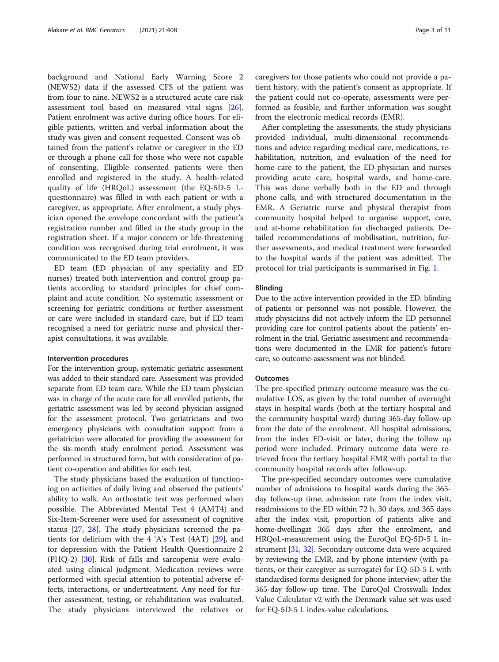background and National Early Warning Score 2 (NEWS2) data if the assessed CFS of the patient was from four to nine. NEWS2 is a structured acute care risk assessment tool based on measured vital signs [\[26](#page-10-0)]. Patient enrolment was active during office hours. For eligible patients, written and verbal information about the study was given and consent requested. Consent was obtained from the patient's relative or caregiver in the ED or through a phone call for those who were not capable of consenting. Eligible consented patients were then enrolled and registered in the study. A health-related quality of life (HRQoL) assessment (the EQ-5D-5 Lquestionnaire) was filled in with each patient or with a caregiver, as appropriate. After enrolment, a study physician opened the envelope concordant with the patient's registration number and filled in the study group in the registration sheet. If a major concern or life-threatening condition was recognised during trial enrolment, it was communicated to the ED team providers.

ED team (ED physician of any speciality and ED nurses) treated both intervention and control group patients according to standard principles for chief complaint and acute condition. No systematic assessment or screening for geriatric conditions or further assessment or care were included in standard care, but if ED team recognised a need for geriatric nurse and physical therapist consultations, it was available.

#### Intervention procedures

For the intervention group, systematic geriatric assessment was added to their standard care. Assessment was provided separate from ED team care. While the ED team physician was in charge of the acute care for all enrolled patients, the geriatric assessment was led by second physician assigned for the assessment protocol. Two geriatricians and two emergency physicians with consultation support from a geriatrician were allocated for providing the assessment for the six-month study enrolment period. Assessment was performed in structured form, but with consideration of patient co-operation and abilities for each test.

The study physicians based the evaluation of functioning on activities of daily living and observed the patients' ability to walk. An orthostatic test was performed when possible. The Abbreviated Mental Test 4 (AMT4) and Six-Item-Screener were used for assessment of cognitive status [\[27](#page-10-0), [28\]](#page-10-0). The study physicians screened the patients for delirium with the 4 'A's Test (4AT) [\[29](#page-10-0)], and for depression with the Patient Health Questionnaire 2 (PHQ-2) [[30\]](#page-10-0). Risk of falls and sarcopenia were evaluated using clinical judgment. Medication reviews were performed with special attention to potential adverse effects, interactions, or undertreatment. Any need for further assessment, testing, or rehabilitation was evaluated. The study physicians interviewed the relatives or caregivers for those patients who could not provide a patient history, with the patient's consent as appropriate. If the patient could not co-operate, assessments were performed as feasible, and further information was sought from the electronic medical records (EMR).

After completing the assessments, the study physicians provided individual, multi-dimensional recommendations and advice regarding medical care, medications, rehabilitation, nutrition, and evaluation of the need for home-care to the patient, the ED-physician and nurses providing acute care, hospital wards, and home-care. This was done verbally both in the ED and through phone calls, and with structured documentation in the EMR. A Geriatric nurse and physical therapist from community hospital helped to organise support, care, and at-home rehabilitation for discharged patients. Detailed recommendations of mobilisation, nutrition, further assessments, and medical treatment were forwarded to the hospital wards if the patient was admitted. The protocol for trial participants is summarised in Fig. [1.](#page-3-0)

#### Blinding

Due to the active intervention provided in the ED, blinding of patients or personnel was not possible. However, the study physicians did not actively inform the ED personnel providing care for control patients about the patients' enrolment in the trial. Geriatric assessment and recommendations were documented in the EMR for patient's future care, so outcome-assessment was not blinded.

#### **Outcomes**

The pre-specified primary outcome measure was the cumulative LOS, as given by the total number of overnight stays in hospital wards (both at the tertiary hospital and the community hospital ward) during 365-day follow-up from the date of the enrolment. All hospital admissions, from the index ED-visit or later, during the follow up period were included. Primary outcome data were retrieved from the tertiary hospital EMR with portal to the community hospital records after follow-up.

The pre-specified secondary outcomes were cumulative number of admissions to hospital wards during the 365 day follow-up time, admission rate from the index visit, readmissions to the ED within 72 h, 30 days, and 365 days after the index visit, proportion of patients alive and home-dwellingat 365 days after the enrolment, and HRQoL-measurement using the EuroQol EQ-5D-5 L instrument [\[31,](#page-10-0) [32\]](#page-10-0). Secondary outcome data were acquired by reviewing the EMR, and by phone interview (with patients, or their caregiver as surrogate) for EQ-5D-5 L with standardised forms designed for phone interview, after the 365-day follow-up time. The EuroQol Crosswalk Index Value Calculator v2 with the Denmark value set was used for EQ-5D-5 L index-value calculations.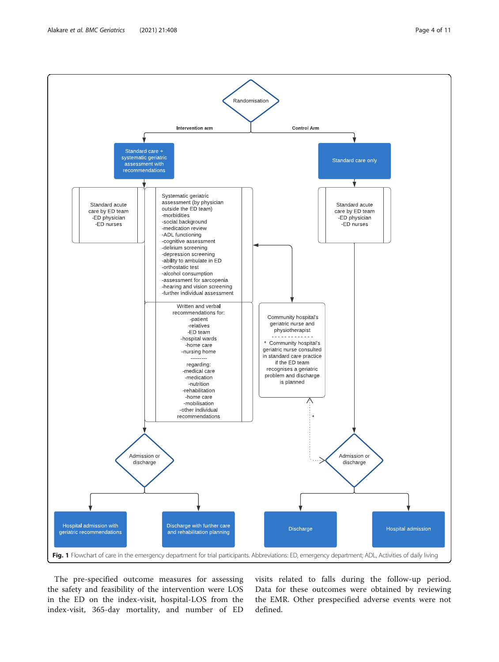<span id="page-3-0"></span>

The pre-specified outcome measures for assessing the safety and feasibility of the intervention were LOS in the ED on the index-visit, hospital-LOS from the index-visit, 365-day mortality, and number of ED

visits related to falls during the follow-up period. Data for these outcomes were obtained by reviewing the EMR. Other prespecified adverse events were not defined.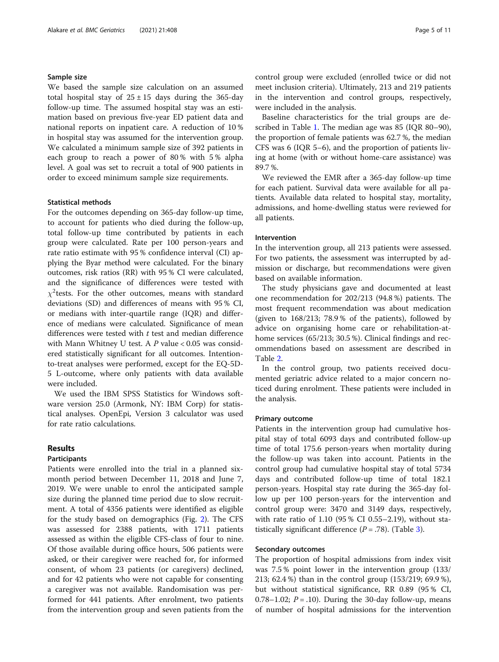#### Sample size

We based the sample size calculation on an assumed total hospital stay of  $25 \pm 15$  days during the 365-day follow-up time. The assumed hospital stay was an estimation based on previous five-year ED patient data and national reports on inpatient care. A reduction of 10 % in hospital stay was assumed for the intervention group. We calculated a minimum sample size of 392 patients in each group to reach a power of 80 % with 5 % alpha level. A goal was set to recruit a total of 900 patients in order to exceed minimum sample size requirements.

#### Statistical methods

For the outcomes depending on 365-day follow-up time, to account for patients who died during the follow-up, total follow-up time contributed by patients in each group were calculated. Rate per 100 person-years and rate ratio estimate with 95 % confidence interval (CI) applying the Byar method were calculated. For the binary outcomes, risk ratios (RR) with 95 % CI were calculated, and the significance of differences were tested with  $\chi^2$ tests. For the other outcomes, means with standard deviations (SD) and differences of means with 95 % CI, or medians with inter-quartile range (IQR) and difference of medians were calculated. Significance of mean differences were tested with  $t$  test and median difference with Mann Whitney U test. A  $P$  value < 0.05 was considered statistically significant for all outcomes. Intentionto-treat analyses were performed, except for the EQ-5D-5 L-outcome, where only patients with data available were included.

We used the IBM SPSS Statistics for Windows software version 25.0 (Armonk, NY: IBM Corp) for statistical analyses. OpenEpi, Version 3 calculator was used for rate ratio calculations.

#### Results

#### Participants

Patients were enrolled into the trial in a planned sixmonth period between December 11, 2018 and June 7, 2019. We were unable to enrol the anticipated sample size during the planned time period due to slow recruitment. A total of 4356 patients were identified as eligible for the study based on demographics (Fig. [2](#page-5-0)). The CFS was assessed for 2388 patients, with 1711 patients assessed as within the eligible CFS-class of four to nine. Of those available during office hours, 506 patients were asked, or their caregiver were reached for, for informed consent, of whom 23 patients (or caregivers) declined, and for 42 patients who were not capable for consenting a caregiver was not available. Randomisation was performed for 441 patients. After enrolment, two patients from the intervention group and seven patients from the control group were excluded (enrolled twice or did not meet inclusion criteria). Ultimately, 213 and 219 patients in the intervention and control groups, respectively, were included in the analysis.

Baseline characteristics for the trial groups are described in Table [1](#page-6-0). The median age was 85 (IQR 80–90), the proportion of female patients was 62.7 %, the median CFS was 6 (IQR 5–6), and the proportion of patients living at home (with or without home-care assistance) was 89.7 %.

We reviewed the EMR after a 365-day follow-up time for each patient. Survival data were available for all patients. Available data related to hospital stay, mortality, admissions, and home-dwelling status were reviewed for all patients.

#### Intervention

In the intervention group, all 213 patients were assessed. For two patients, the assessment was interrupted by admission or discharge, but recommendations were given based on available information.

The study physicians gave and documented at least one recommendation for 202/213 (94.8 %) patients. The most frequent recommendation was about medication (given to 168/213; 78.9 % of the patients), followed by advice on organising home care or rehabilitation-athome services (65/213; 30.5 %). Clinical findings and recommendations based on assessment are described in Table [2.](#page-7-0)

In the control group, two patients received documented geriatric advice related to a major concern noticed during enrolment. These patients were included in the analysis.

#### Primary outcome

Patients in the intervention group had cumulative hospital stay of total 6093 days and contributed follow-up time of total 175.6 person-years when mortality during the follow-up was taken into account. Patients in the control group had cumulative hospital stay of total 5734 days and contributed follow-up time of total 182.1 person-years. Hospital stay rate during the 365-day follow up per 100 person-years for the intervention and control group were: 3470 and 3149 days, respectively, with rate ratio of 1.10 (95 % CI 0.55–2.19), without statistically significant difference  $(P = .78)$ . (Table [3\)](#page-8-0).

#### Secondary outcomes

The proportion of hospital admissions from index visit was 7.5 % point lower in the intervention group (133/ 213; 62.4 %) than in the control group (153/219; 69.9 %), but without statistical significance, RR 0.89 (95 % CI, 0.78–1.02;  $P = .10$ ). During the 30-day follow-up, means of number of hospital admissions for the intervention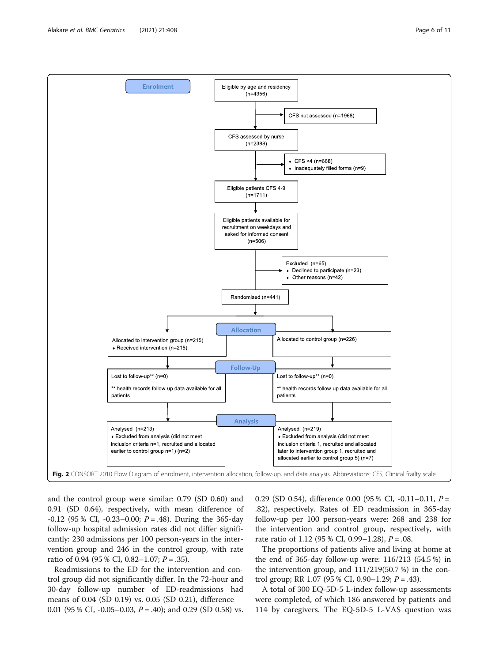<span id="page-5-0"></span>

and the control group were similar: 0.79 (SD 0.60) and 0.91 (SD 0.64), respectively, with mean difference of -0.12 (95 % CI, -0.23–0.00;  $P = .48$ ). During the 365-day follow-up hospital admission rates did not differ significantly: 230 admissions per 100 person-years in the intervention group and 246 in the control group, with rate ratio of 0.94 (95 % CI, 0.82–1.07;  $P = .35$ ).

Readmissions to the ED for the intervention and control group did not significantly differ. In the 72-hour and 30-day follow-up number of ED-readmissions had means of 0.04 (SD 0.19) vs. 0.05 (SD 0.21), difference − 0.01 (95 % CI, -0.05–0.03,  $P = .40$ ); and 0.29 (SD 0.58) vs. 0.29 (SD 0.54), difference 0.00 (95 % CI, -0.11–0.11,  $P =$ .82), respectively. Rates of ED readmission in 365-day follow-up per 100 person-years were: 268 and 238 for the intervention and control group, respectively, with rate ratio of 1.12 (95 % CI, 0.99–1.28),  $P = .08$ .

The proportions of patients alive and living at home at the end of 365-day follow-up were: 116/213 (54.5 %) in the intervention group, and 111/219(50.7 %) in the control group; RR 1.07 (95 % CI, 0.90–1.29;  $P = .43$ ).

A total of 300 EQ-5D-5 L-index follow-up assessments were completed, of which 186 answered by patients and 114 by caregivers. The EQ-5D-5 L-VAS question was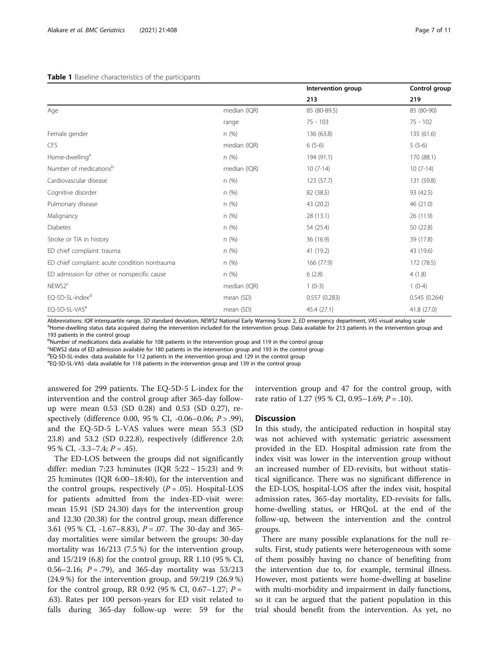#### <span id="page-6-0"></span>Table 1 Baseline characteristics of the participants

|                                               |              | Intervention group | Control group |
|-----------------------------------------------|--------------|--------------------|---------------|
|                                               |              | 213                | 219           |
| Age                                           | median (IQR) | 85 (80-89.5)       | 85 (80-90)    |
|                                               | range        | $75 - 103$         | $75 - 102$    |
| Female gender                                 | n(%)         | 136 (63.8)         | 135 (61.6)    |
| CFS                                           | median (IQR) | $6(5-6)$           | $5(5-6)$      |
| Home-dwelling <sup>a</sup>                    | n(%)         | 194 (91.1)         | 170 (88.1)    |
| Number of medications <sup>b</sup>            | median (IQR) | $10(7-14)$         | $10(7-14)$    |
| Cardiovascular disease                        | n(%)         | 123 (57.7)         | 131 (59.8)    |
| Cognitive disorder                            | n(%)         | 82 (38.5)          | 93 (42.5)     |
| Pulmonary disease                             | n(%)         | 43 (20.2)          | 46 (21.0)     |
| Malignancy                                    | n(%)         | 28 (13.1)          | 26 (11.9)     |
| <b>Diabetes</b>                               | n(%)         | 54 (25.4)          | 50 (22.8)     |
| Stroke or TIA in history                      | n(%)         | 36 (16.9)          | 39 (17.8)     |
| ED chief complaint: trauma                    | n(%)         | 41 (19.2)          | 43 (19.6)     |
| ED chief complaint: acute condition nontrauma | n(%)         | 166 (77.9)         | 172 (78.5)    |
| ED admission for other or nonspecific cause   | n(%)         | 6(2.8)             | 4(1.8)        |
| NEWS2 <sup>c</sup>                            | median (IQR) | $1(0-3)$           | $1(0-4)$      |
| EQ-5D-5L-index <sup>d</sup>                   | mean (SD)    | 0.557(0.283)       | 0.545(0.264)  |
| EQ-5D-5L-VAS <sup>e</sup>                     | mean (SD)    | 45.4 (27.1)        | 41.8 (27.0)   |

Abbreviations: IQR interquartile range, SD standard deviation, NEWS2 National Early Warning Score 2, ED emergency department, VAS visual analog scale <sup>a</sup>Home-dwelling status data acquired during the intervention included for the intervention group. Data available for 213 patients in the intervention group and 193 patients in the control group

<sup>b</sup>Number of medications data available for 108 patients in the intervention group and 119 in the control group

c NEWS2 data of ED admission available for 180 patients in the intervention group and 193 in the control group

d EQ-5D-5L-index -data available for 112 patients in the intervention group and 129 in the control group

e EQ-5D-5L-VAS -data available for 118 patients in the intervention group and 139 in the control group

answered for 299 patients. The EQ-5D-5 L-index for the intervention and the control group after 365-day followup were mean 0.53 (SD 0.28) and 0.53 (SD 0.27), respectively (difference 0.00, 95 % CI, -0.06–0.06; P > .99), and the EQ-5D-5 L-VAS values were mean 55.3 (SD 23.8) and 53.2 (SD 0.22.8), respectively (difference 2.0; 95 % CI,  $-3.3-7.4$ ;  $P = .45$ ).

The ED-LOS between the groups did not significantly differ: median 7:23 h:minutes (IQR 5:22 − 15:23) and 9: 25 h:minutes (IQR 6:00–18:40), for the intervention and the control groups, respectively  $(P=.05)$ . Hospital-LOS for patients admitted from the index-ED-visit were: mean 15.91 (SD 24.30) days for the intervention group and 12.30 (20.38) for the control group, mean difference 3.61 (95 % CI, -1.67–8.83), P = .07. The 30-day and 365 day mortalities were similar between the groups: 30-day mortality was 16/213 (7.5 %) for the intervention group, and 15/219 (6.8) for the control group, RR 1.10 (95 % CI, 0.56–2.16;  $P = .79$ ), and 365-day mortality was 53/213 (24.9 %) for the intervention group, and 59/219 (26.9 %) for the control group, RR 0.92 (95 % CI, 0.67–1.27;  $P =$ .63). Rates per 100 person-years for ED visit related to falls during 365-day follow-up were: 59 for the

intervention group and 47 for the control group, with rate ratio of 1.27 (95 % CI, 0.95–1.69;  $P = .10$ ).

#### **Discussion**

In this study, the anticipated reduction in hospital stay was not achieved with systematic geriatric assessment provided in the ED. Hospital admission rate from the index visit was lower in the intervention group without an increased number of ED-revisits, but without statistical significance. There was no significant difference in the ED-LOS, hospital-LOS after the index visit, hospital admission rates, 365-day mortality, ED-revisits for falls, home-dwelling status, or HRQoL at the end of the follow-up, between the intervention and the control groups.

There are many possible explanations for the null results. First, study patients were heterogeneous with some of them possibly having no chance of benefiting from the intervention due to, for example, terminal illness. However, most patients were home-dwelling at baseline with multi-morbidity and impairment in daily functions, so it can be argued that the patient population in this trial should benefit from the intervention. As yet, no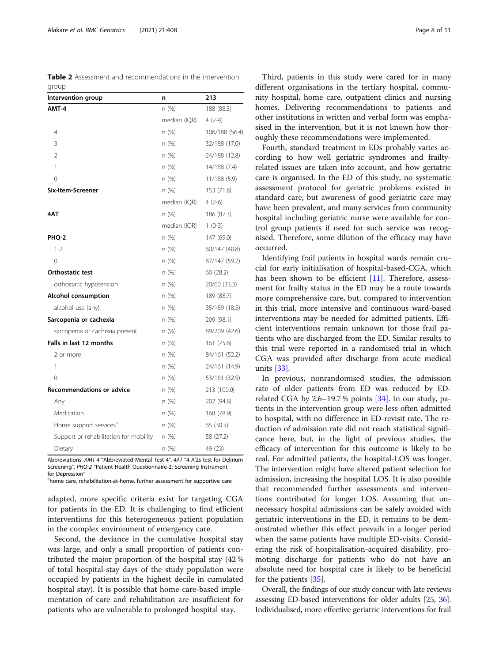<span id="page-7-0"></span>Table 2 Assessment and recommendations in the intervention group

| Intervention group                     | n            | 213            |  |
|----------------------------------------|--------------|----------------|--|
| AMT-4                                  | n (%)        | 188 (88.3)     |  |
|                                        | median (IQR) | $4(2-4)$       |  |
| 4                                      | n (%)        | 106/188 (56.4) |  |
| 3                                      | n (%)        | 32/188 (17.0)  |  |
| $\mathcal{P}$                          | n(%)         | 24/188 (12.8)  |  |
| 1                                      | n (%)        | 14/188 (7.4)   |  |
| 0                                      | n (%)        | 11/188 (5.9)   |  |
| Six-Item-Screener                      | n(%)         | 153 (71.8)     |  |
|                                        | median (IQR) | $4(2-6)$       |  |
| 4AT                                    | n (%)        | 186 (87.3)     |  |
|                                        | median (IQR) | $1(0-3)$       |  |
| PHQ-2                                  | n(%)         | 147 (69.0)     |  |
| $1 - 2$                                | n (%)        | 60/147 (40.8)  |  |
| 0                                      | n (%)        | 87/147 (59.2)  |  |
| <b>Orthostatic test</b>                | n (%)        | 60 (28.2)      |  |
| orthostatic hypotension                | n(%)         | 20/60 (33.3)   |  |
| <b>Alcohol consumption</b>             | n(%)         | 189 (88.7)     |  |
| alcohol use (any)                      | n (%)        | 35/189 (18.5)  |  |
| Sarcopenia or cachexia                 | n (%)        | 209 (98.1)     |  |
| sarcopenia or cachexia present         | n(%)         | 89/209 (42.6)  |  |
| Falls in last 12 months                | n(%)         | 161 (75.6)     |  |
| 2 or more                              | n (%)        | 84/161 (52.2)  |  |
| 1                                      | n (%)        | 24/161 (14.9)  |  |
| 0                                      | n(%)         | 53/161 (32.9)  |  |
| <b>Recommendations or advice</b>       | n (%)        | 213 (100.0)    |  |
| Any                                    | n(%)         | 202 (94.8)     |  |
| Medication                             | n (%)        | 168 (78.9)     |  |
| Home support services <sup>a</sup>     | n (%)        | 65 (30.5)      |  |
| Support or rehabilitation for mobility | n(%)         | 58 (27.2)      |  |
| Dietary                                | n (%)        | 49 (23)        |  |

Abbreviations: AMT-4 "Abbreviated Mental Test 4", 4AT "4 A'2s test for Delirium Screening", PHQ-2 "Patient Health Questionnaire-2: Screening Instrument for Depression'

home care, rehabilitation-at-home, further assessment for supportive care

adapted, more specific criteria exist for targeting CGA for patients in the ED. It is challenging to find efficient interventions for this heterogeneous patient population in the complex environment of emergency care.

Second, the deviance in the cumulative hospital stay was large, and only a small proportion of patients contributed the major proportion of the hospital stay (42 % of total hospital-stay days of the study population were occupied by patients in the highest decile in cumulated hospital stay). It is possible that home-care-based implementation of care and rehabilitation are insufficient for patients who are vulnerable to prolonged hospital stay.

Third, patients in this study were cared for in many different organisations in the tertiary hospital, community hospital, home care, outpatient clinics and nursing homes. Delivering recommendations to patients and other institutions in written and verbal form was emphasised in the intervention, but it is not known how thoroughly these recommendations were implemented.

Fourth, standard treatment in EDs probably varies according to how well geriatric syndromes and frailtyrelated issues are taken into account, and how geriatric care is organised. In the ED of this study, no systematic assessment protocol for geriatric problems existed in standard care, but awareness of good geriatric care may have been prevalent, and many services from community hospital including geriatric nurse were available for control group patients if need for such service was recognised. Therefore, some dilution of the efficacy may have occurred.

Identifying frail patients in hospital wards remain crucial for early initialisation of hospital-based-CGA, which has been shown to be efficient [\[11](#page-9-0)]. Therefore, assessment for frailty status in the ED may be a route towards more comprehensive care, but, compared to intervention in this trial, more intensive and continuous ward-based interventions may be needed for admitted patients. Efficient interventions remain unknown for those frail patients who are discharged from the ED. Similar results to this trial were reported in a randomised trial in which CGA was provided after discharge from acute medical units [\[33\]](#page-10-0).

In previous, nonrandomised studies, the admission rate of older patients from ED was reduced by EDrelated CGA by  $2.6-19.7$ % points  $[34]$  $[34]$ . In our study, patients in the intervention group were less often admitted to hospital, with no difference in ED-revisit rate. The reduction of admission rate did not reach statistical significance here, but, in the light of previous studies, the efficacy of intervention for this outcome is likely to be real. For admitted patients, the hospital-LOS was longer. The intervention might have altered patient selection for admission, increasing the hospital LOS. It is also possible that recommended further assessments and interventions contributed for longer LOS. Assuming that unnecessary hospital admissions can be safely avoided with geriatric interventions in the ED, it remains to be demonstrated whether this effect prevails in a longer period when the same patients have multiple ED-visits. Considering the risk of hospitalisation-acquired disability, promoting discharge for patients who do not have an absolute need for hospital care is likely to be beneficial for the patients [\[35](#page-10-0)].

Overall, the findings of our study concur with late reviews assessing ED-based interventions for older adults [\[25](#page-10-0), [36](#page-10-0)]. Individualised, more effective geriatric interventions for frail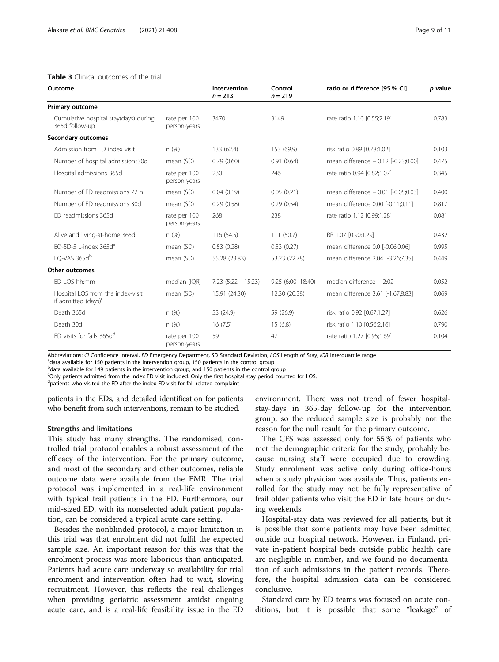#### <span id="page-8-0"></span>Table 3 Clinical outcomes of the trial

| Outcome                                                     |                              | Intervention<br>$n = 213$ | Control<br>$n = 219$ | ratio or difference [95 % CI]        | p value |
|-------------------------------------------------------------|------------------------------|---------------------------|----------------------|--------------------------------------|---------|
| <b>Primary outcome</b>                                      |                              |                           |                      |                                      |         |
| Cumulative hospital stay(days) during<br>365d follow-up     | rate per 100<br>person-years | 3470                      | 3149                 | rate ratio 1.10 [0.55;2.19]          | 0.783   |
| Secondary outcomes                                          |                              |                           |                      |                                      |         |
| Admission from ED index visit                               | n(%)                         | 133 (62.4)                | 153 (69.9)           | risk ratio 0.89 [0.78;1.02]          | 0.103   |
| Number of hospital admissions30d                            | mean (SD)                    | 0.79(0.60)                | 0.91(0.64)           | mean difference - 0.12 [-0.23;0.00]  | 0.475   |
| Hospital admissions 365d                                    | rate per 100<br>person-years | 230                       | 246                  | rate ratio 0.94 [0.82;1.07]          | 0.345   |
| Number of FD readmissions 72 h                              | mean (SD)                    | 0.04(0.19)                | 0.05(0.21)           | mean difference $-0.01$ [-0.05;0.03] | 0.400   |
| Number of FD readmissions 30d                               | mean (SD)                    | 0.29(0.58)                | 0.29(0.54)           | mean difference 0.00 [-0.11;0.11]    | 0.817   |
| ED readmissions 365d                                        | rate per 100<br>person-years | 268                       | 238                  | rate ratio 1.12 [0.99;1.28]          | 0.081   |
| Alive and living-at-home 365d                               | n(%)                         | 116 (54.5)                | 111(50.7)            | RR 1.07 [0.90;1.29]                  | 0.432   |
| EO-5D-5 L-index $365d^a$                                    | mean (SD)                    | 0.53(0.28)                | 0.53(0.27)           | mean difference 0.0 [-0.06;0.06]     | 0.995   |
| EQ-VAS 365db                                                | mean (SD)                    | 55.28 (23.83)             | 53.23 (22.78)        | mean difference 2.04 [-3.26;7.35]    | 0.449   |
| <b>Other outcomes</b>                                       |                              |                           |                      |                                      |         |
| ED LOS hh:mm                                                | median (IQR)                 | $7:23(5:22-15:23)$        | $9:25(6:00-18:40)$   | median difference $-2:02$            | 0.052   |
| Hospital LOS from the index-visit<br>if admitted $(days)^c$ | mean (SD)                    | 15.91 (24.30)             | 12.30 (20.38)        | mean difference 3.61 [-1.67;8.83]    | 0.069   |
| Death 365d                                                  | n(%)                         | 53 (24.9)                 | 59 (26.9)            | risk ratio 0.92 [0.67;1.27]          | 0.626   |

Death 30d **n** (%) 16 (7.5) 15 (6.8) risk ratio 1.10 [0.56;2.16] 0.790

Abbreviations: CI Confidence Interval, ED Emergency Department, SD Standard Deviation, LOS Length of Stay, IQR interquartile range

<sup>a</sup>data available for 150 patients in the intervention group, 150 patients in the control group

<sup>b</sup>data available for 149 patients in the intervention group, and 150 patients in the control group

c Only patients admitted from the index ED visit included. Only the first hospital stay period counted for LOS.

person-years

<sup>d</sup>patients who visited the ED after the index ED visit for fall-related complaint

ED visits for falls 365d<sup>d</sup> rate per 100

patients in the EDs, and detailed identification for patients who benefit from such interventions, remain to be studied.

#### Strengths and limitations

This study has many strengths. The randomised, controlled trial protocol enables a robust assessment of the efficacy of the intervention. For the primary outcome, and most of the secondary and other outcomes, reliable outcome data were available from the EMR. The trial protocol was implemented in a real-life environment with typical frail patients in the ED. Furthermore, our mid-sized ED, with its nonselected adult patient population, can be considered a typical acute care setting.

Besides the nonblinded protocol, a major limitation in this trial was that enrolment did not fulfil the expected sample size. An important reason for this was that the enrolment process was more laborious than anticipated. Patients had acute care underway so availability for trial enrolment and intervention often had to wait, slowing recruitment. However, this reflects the real challenges when providing geriatric assessment amidst ongoing acute care, and is a real-life feasibility issue in the ED

environment. There was not trend of fewer hospitalstay-days in 365-day follow-up for the intervention group, so the reduced sample size is probably not the reason for the null result for the primary outcome.

59 47 rate ratio 1.27 [0.95;1.69] 0.104

The CFS was assessed only for 55 % of patients who met the demographic criteria for the study, probably because nursing staff were occupied due to crowding. Study enrolment was active only during office-hours when a study physician was available. Thus, patients enrolled for the study may not be fully representative of frail older patients who visit the ED in late hours or during weekends.

Hospital-stay data was reviewed for all patients, but it is possible that some patients may have been admitted outside our hospital network. However, in Finland, private in-patient hospital beds outside public health care are negligible in number, and we found no documentation of such admissions in the patient records. Therefore, the hospital admission data can be considered conclusive.

Standard care by ED teams was focused on acute conditions, but it is possible that some "leakage" of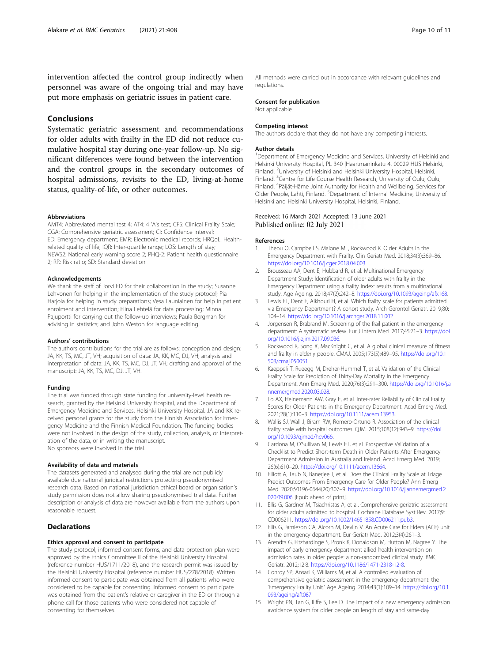<span id="page-9-0"></span>intervention affected the control group indirectly when personnel was aware of the ongoing trial and may have put more emphasis on geriatric issues in patient care.

#### Conclusions

Systematic geriatric assessment and recommendations for older adults with frailty in the ED did not reduce cumulative hospital stay during one-year follow-up. No significant differences were found between the intervention and the control groups in the secondary outcomes of hospital admissions, revisits to the ED, living-at-home status, quality-of-life, or other outcomes.

#### Abbreviations

AMT4: Abbreviated mental test 4; AT4: 4 'A's test; CFS: Clinical Frailty Scale; CGA: Comprehensive geriatric assessment; CI: Confidence interval; ED: Emergency department; EMR: Electronic medical records; HRQoL: Healthrelated quality of life; IQR: Inter-quartile range; LOS: Length of stay; NEWS2: National early warning score 2; PHQ-2: Patient health questionnaire 2; RR: Risk ratio; SD: Standard deviation

#### Acknowledgements

We thank the staff of Jorvi ED for their collaboration in the study; Susanne Lehvonen for helping in the implementation of the study protocol; Pia Harjola for helping in study preparations; Vesa Launiainen for help in patient enrolment and intervention; Elina Lehtelä for data processing; Minna Pajuportti for carrying out the follow-up interviews; Paula Bergman for advising in statistics; and John Weston for language editing.

#### Authors' contributions

The authors contributions for the trial are as follows: conception and design: JA, KK, TS, MC, JT, VH; acquisition of data: JA, KK, MC, DJ, VH; analysis and interpretation of data: JA, KK, TS, MC, DJ, JT, VH; drafting and approval of the manuscript: JA, KK, TS, MC, DJ, JT, VH.

#### Funding

The trial was funded through state funding for university-level health research, granted by the Helsinki University Hospital, and the Department of Emergency Medicine and Services, Helsinki University Hospital. JA and KK received personal grants for the study from the Finnish Association for Emergency Medicine and the Finnish Medical Foundation. The funding bodies were not involved in the design of the study, collection, analysis, or interpretation of the data, or in writing the manuscript. No sponsors were involved in the trial.

#### Availability of data and materials

The datasets generated and analysed during the trial are not publicly available due national juridical restrictions protecting pseudonymised research data. Based on national jurisdiction ethical board or organisation's study permission does not allow sharing pseudonymised trial data. Further description or analysis of data are however available from the authors upon reasonable request.

#### **Declarations**

#### Ethics approval and consent to participate

The study protocol, informed consent forms, and data protection plan were approved by the Ethics Committee II of the Helsinki University Hospital (reference number HUS/1711/2018), and the research permit was issued by the Helsinki University Hospital (reference number HUS/278/2018). Written informed consent to participate was obtained from all patients who were considered to be capable for consenting. Informed consent to participate was obtained from the patient's relative or caregiver in the ED or through a phone call for those patients who were considered not capable of consenting for themselves.

All methods were carried out in accordance with relevant guidelines and regulations.

#### Consent for publication

Not applicable.

#### Competing interest

The authors declare that they do not have any competing interests.

#### Author details

<sup>1</sup>Department of Emergency Medicine and Services, University of Helsinki and Helsinki University Hospital, PL 340 |Haartmaninkatu 4, 00029 HUS Helsinki, Finland. <sup>2</sup>University of Helsinki and Helsinki University Hospital, Helsinki Finland. <sup>3</sup>Centre for Life Course Health Research, University of Oulu, Oulu, Finland. <sup>4</sup> Päijät-Häme Joint Authority for Health and Wellbeing, Services for Older People, Lahti, Finland. <sup>5</sup>Department of Internal Medicine, University of Helsinki and Helsinki University Hospital, Helsinki, Finland.

#### Received: 16 March 2021 Accepted: 13 June 2021 Published online: 02 July 2021

#### References

- 1. Theou O, Campbell S, Malone ML, Rockwood K. Older Adults in the Emergency Department with Frailty. Clin Geriatr Med. 2018;34(3):369–86. <https://doi.org/10.1016/j.cger.2018.04.003>.
- 2. Brousseau AA, Dent E, Hubbard R, et al. Multinational Emergency Department Study: Identification of older adults with frailty in the Emergency Department using a frailty index: results from a multinational study. Age Ageing. 2018;47(2):242–8. [https://doi.org/10.1093/ageing/afx168.](https://doi.org/10.1093/ageing/afx168)
- 3. Lewis ET, Dent E, Alkhouri H, et al. Which frailty scale for patients admitted via Emergency Department? A cohort study. Arch Gerontol Geriatr. 2019;80: 104–14. <https://doi.org/10.1016/j.archger.2018.11.002>.
- 4. Jorgensen R, Brabrand M. Screening of the frail patient in the emergency department: A systematic review. Eur J Intern Med. 2017;45:71–3. [https://doi.](https://doi.org/10.1016/j.ejim.2017.09.036) [org/10.1016/j.ejim.2017.09.036](https://doi.org/10.1016/j.ejim.2017.09.036).
- 5. Rockwood K, Song X, MacKnight C, et al. A global clinical measure of fitness and frailty in elderly people. CMAJ. 2005;173(5):489–95. [https://doi.org/10.1](https://doi.org/10.1503/cmaj.050051) [503/cmaj.050051.](https://doi.org/10.1503/cmaj.050051)
- 6. Kaeppeli T, Rueegg M, Dreher-Hummel T, et al. Validation of the Clinical Frailty Scale for Prediction of Thirty-Day Mortality in the Emergency Department. Ann Emerg Med. 2020;76(3):291–300. [https://doi.org/10.1016/j.a](https://doi.org/10.1016/j.annemergmed.2020.03.028) [nnemergmed.2020.03.028](https://doi.org/10.1016/j.annemergmed.2020.03.028).
- 7. Lo AX, Heinemann AW, Gray E, et al. Inter-rater Reliability of Clinical Frailty Scores for Older Patients in the Emergency Department. Acad Emerg Med. 2021;28(1):110–3. <https://doi.org/10.1111/acem.13953>.
- 8. Wallis SJ, Wall J, Biram RW, Romero-Ortuno R. Association of the clinical frailty scale with hospital outcomes. QJM. 2015;108(12):943–9. [https://doi.](https://doi.org/10.1093/qjmed/hcv066) [org/10.1093/qjmed/hcv066](https://doi.org/10.1093/qjmed/hcv066).
- 9. Cardona M, O'Sullivan M, Lewis ET, et al. Prospective Validation of a Checklist to Predict Short-term Death in Older Patients After Emergency Department Admission in Australia and Ireland. Acad Emerg Med. 2019; 26(6):610–20. [https://doi.org/10.1111/acem.13664.](https://doi.org/10.1111/acem.13664)
- 10. Elliott A, Taub N, Banerjee J, et al. Does the Clinical Frailty Scale at Triage Predict Outcomes From Emergency Care for Older People? Ann Emerg Med. 2020;S0196-0644(20):307–9. [https://doi.org/10.1016/j.annemergmed.2](https://doi.org/10.1016/j.annemergmed.2020.09.006) [020.09.006](https://doi.org/10.1016/j.annemergmed.2020.09.006) [Epub ahead of print].
- 11. Ellis G, Gardner M, Tsiachristas A, et al. Comprehensive geriatric assessment for older adults admitted to hospital. Cochrane Database Syst Rev. 2017;9: CD006211. [https://doi.org/10.1002/14651858.CD006211.pub3.](https://doi.org/10.1002/14651858.CD006211.pub3)
- 12. Ellis G, Jamieson CA, Alcorn M, Devlin V. An Acute Care for Elders (ACE) unit in the emergency department. Eur Geriatr Med. 2012;3(4):261–3.
- 13. Arendts G, Fitzhardinge S, Pronk K, Donaldson M, Hutton M, Nagree Y. The impact of early emergency department allied health intervention on admission rates in older people: a non-randomized clinical study. BMC Geriatr. 2012;12:8. <https://doi.org/10.1186/1471-2318-12-8>.
- 14. Conroy SP, Ansari K, Williams M, et al. A controlled evaluation of comprehensive geriatric assessment in the emergency department: the 'Emergency Frailty Unit.' Age Ageing. 2014;43(1):109–14. [https://doi.org/10.1](https://doi.org/10.1093/ageing/aft087) [093/ageing/aft087.](https://doi.org/10.1093/ageing/aft087)
- 15. Wright PN, Tan G, Iliffe S, Lee D. The impact of a new emergency admission avoidance system for older people on length of stay and same-day